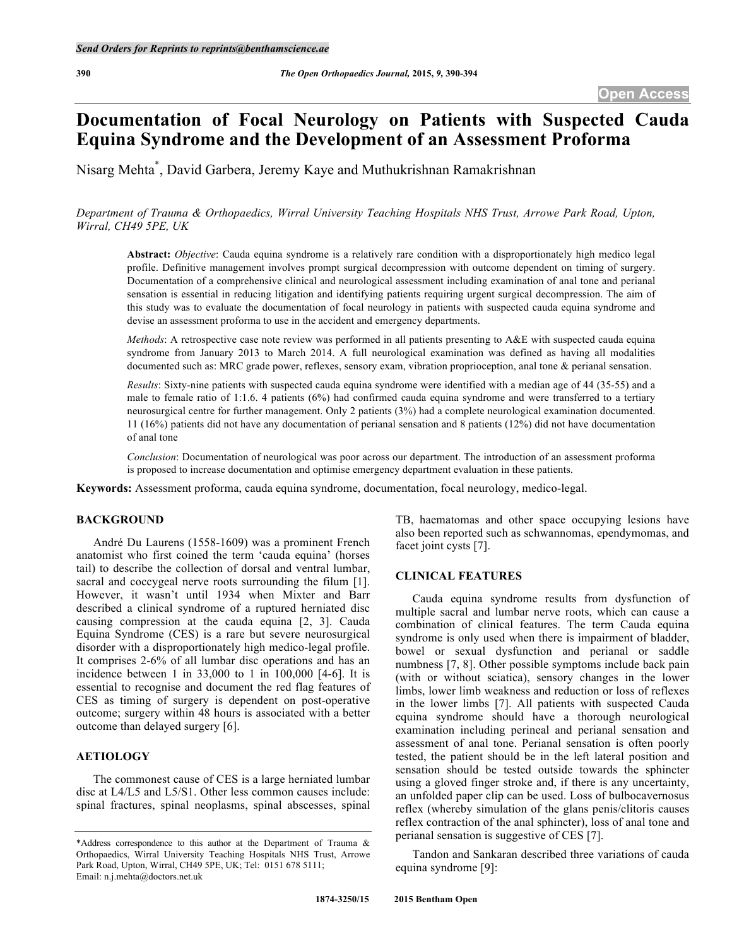# **Documentation of Focal Neurology on Patients with Suspected Cauda Equina Syndrome and the Development of an Assessment Proforma**

Nisarg Mehta\* , David Garbera, Jeremy Kaye and Muthukrishnan Ramakrishnan

*Department of Trauma & Orthopaedics, Wirral University Teaching Hospitals NHS Trust, Arrowe Park Road, Upton, Wirral, CH49 5PE, UK*

**Abstract:** *Objective*: Cauda equina syndrome is a relatively rare condition with a disproportionately high medico legal profile. Definitive management involves prompt surgical decompression with outcome dependent on timing of surgery. Documentation of a comprehensive clinical and neurological assessment including examination of anal tone and perianal sensation is essential in reducing litigation and identifying patients requiring urgent surgical decompression. The aim of this study was to evaluate the documentation of focal neurology in patients with suspected cauda equina syndrome and devise an assessment proforma to use in the accident and emergency departments.

*Methods*: A retrospective case note review was performed in all patients presenting to A&E with suspected cauda equina syndrome from January 2013 to March 2014. A full neurological examination was defined as having all modalities documented such as: MRC grade power, reflexes, sensory exam, vibration proprioception, anal tone & perianal sensation.

*Results*: Sixty-nine patients with suspected cauda equina syndrome were identified with a median age of 44 (35-55) and a male to female ratio of 1:1.6. 4 patients (6%) had confirmed cauda equina syndrome and were transferred to a tertiary neurosurgical centre for further management. Only 2 patients (3%) had a complete neurological examination documented. 11 (16%) patients did not have any documentation of perianal sensation and 8 patients (12%) did not have documentation of anal tone

*Conclusion*: Documentation of neurological was poor across our department. The introduction of an assessment proforma is proposed to increase documentation and optimise emergency department evaluation in these patients.

**Keywords:** Assessment proforma, cauda equina syndrome, documentation, focal neurology, medico-legal.

# **BACKGROUND**

André Du Laurens (1558-1609) was a prominent French anatomist who first coined the term 'cauda equina' (horses tail) to describe the collection of dorsal and ventral lumbar, sacral and coccygeal nerve roots surrounding the filum [1]. However, it wasn't until 1934 when Mixter and Barr described a clinical syndrome of a ruptured herniated disc causing compression at the cauda equina [2, 3]. Cauda Equina Syndrome (CES) is a rare but severe neurosurgical disorder with a disproportionately high medico-legal profile. It comprises 2-6% of all lumbar disc operations and has an incidence between 1 in 33,000 to 1 in 100,000 [4-6]. It is essential to recognise and document the red flag features of CES as timing of surgery is dependent on post-operative outcome; surgery within 48 hours is associated with a better outcome than delayed surgery [6].

# **AETIOLOGY**

The commonest cause of CES is a large herniated lumbar disc at L4/L5 and L5/S1. Other less common causes include: spinal fractures, spinal neoplasms, spinal abscesses, spinal

TB, haematomas and other space occupying lesions have also been reported such as schwannomas, ependymomas, and facet joint cysts [7].

# **CLINICAL FEATURES**

Cauda equina syndrome results from dysfunction of multiple sacral and lumbar nerve roots, which can cause a combination of clinical features. The term Cauda equina syndrome is only used when there is impairment of bladder, bowel or sexual dysfunction and perianal or saddle numbness [7, 8]. Other possible symptoms include back pain (with or without sciatica), sensory changes in the lower limbs, lower limb weakness and reduction or loss of reflexes in the lower limbs [7]. All patients with suspected Cauda equina syndrome should have a thorough neurological examination including perineal and perianal sensation and assessment of anal tone. Perianal sensation is often poorly tested, the patient should be in the left lateral position and sensation should be tested outside towards the sphincter using a gloved finger stroke and, if there is any uncertainty, an unfolded paper clip can be used. Loss of bulbocavernosus reflex (whereby simulation of the glans penis/clitoris causes reflex contraction of the anal sphincter), loss of anal tone and perianal sensation is suggestive of CES [7].

Tandon and Sankaran described three variations of cauda equina syndrome [9]:

<sup>\*</sup>Address correspondence to this author at the Department of Trauma & Orthopaedics, Wirral University Teaching Hospitals NHS Trust, Arrowe Park Road, Upton, Wirral, CH49 5PE, UK; Tel: 0151 678 5111; Email: n.j.mehta@doctors.net.uk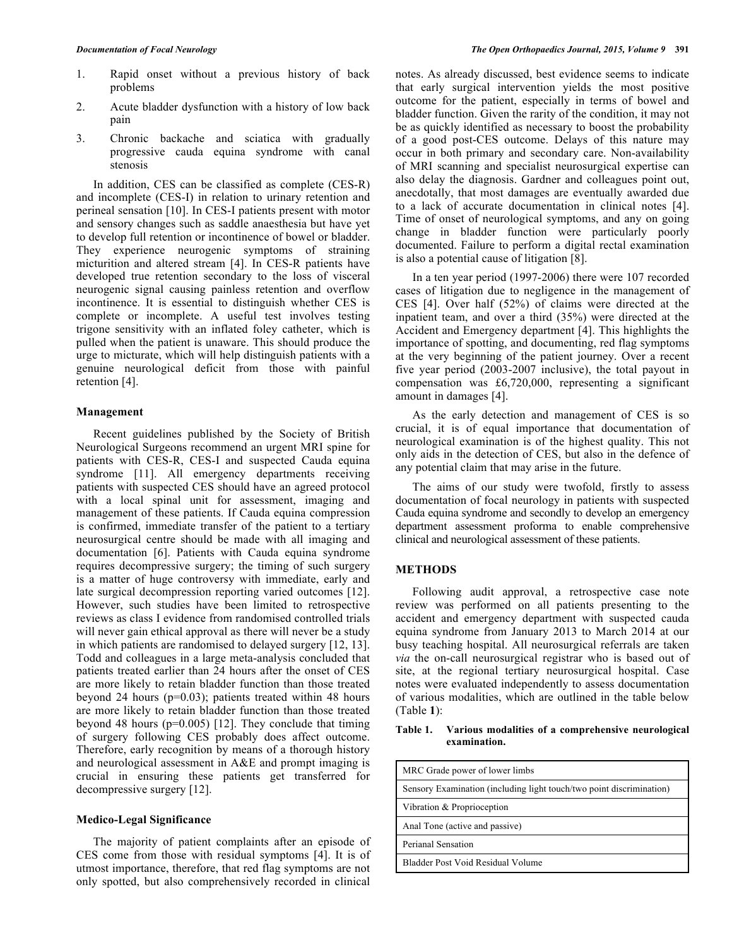- 1. Rapid onset without a previous history of back problems
- 2. Acute bladder dysfunction with a history of low back pain
- 3. Chronic backache and sciatica with gradually progressive cauda equina syndrome with canal stenosis

In addition, CES can be classified as complete (CES-R) and incomplete (CES-I) in relation to urinary retention and perineal sensation [10]. In CES-I patients present with motor and sensory changes such as saddle anaesthesia but have yet to develop full retention or incontinence of bowel or bladder. They experience neurogenic symptoms of straining micturition and altered stream [4]. In CES-R patients have developed true retention secondary to the loss of visceral neurogenic signal causing painless retention and overflow incontinence. It is essential to distinguish whether CES is complete or incomplete. A useful test involves testing trigone sensitivity with an inflated foley catheter, which is pulled when the patient is unaware. This should produce the urge to micturate, which will help distinguish patients with a genuine neurological deficit from those with painful retention [4].

## **Management**

Recent guidelines published by the Society of British Neurological Surgeons recommend an urgent MRI spine for patients with CES-R, CES-I and suspected Cauda equina syndrome [11]. All emergency departments receiving patients with suspected CES should have an agreed protocol with a local spinal unit for assessment, imaging and management of these patients. If Cauda equina compression is confirmed, immediate transfer of the patient to a tertiary neurosurgical centre should be made with all imaging and documentation [6]. Patients with Cauda equina syndrome requires decompressive surgery; the timing of such surgery is a matter of huge controversy with immediate, early and late surgical decompression reporting varied outcomes [12]. However, such studies have been limited to retrospective reviews as class I evidence from randomised controlled trials will never gain ethical approval as there will never be a study in which patients are randomised to delayed surgery [12, 13]. Todd and colleagues in a large meta-analysis concluded that patients treated earlier than 24 hours after the onset of CES are more likely to retain bladder function than those treated beyond 24 hours (p=0.03); patients treated within 48 hours are more likely to retain bladder function than those treated beyond 48 hours (p=0.005) [12]. They conclude that timing of surgery following CES probably does affect outcome. Therefore, early recognition by means of a thorough history and neurological assessment in A&E and prompt imaging is crucial in ensuring these patients get transferred for decompressive surgery [12].

#### **Medico-Legal Significance**

The majority of patient complaints after an episode of CES come from those with residual symptoms [4]. It is of utmost importance, therefore, that red flag symptoms are not only spotted, but also comprehensively recorded in clinical notes. As already discussed, best evidence seems to indicate that early surgical intervention yields the most positive outcome for the patient, especially in terms of bowel and bladder function. Given the rarity of the condition, it may not be as quickly identified as necessary to boost the probability of a good post-CES outcome. Delays of this nature may occur in both primary and secondary care. Non-availability of MRI scanning and specialist neurosurgical expertise can also delay the diagnosis. Gardner and colleagues point out, anecdotally, that most damages are eventually awarded due to a lack of accurate documentation in clinical notes [4]. Time of onset of neurological symptoms, and any on going change in bladder function were particularly poorly documented. Failure to perform a digital rectal examination is also a potential cause of litigation [8].

In a ten year period (1997-2006) there were 107 recorded cases of litigation due to negligence in the management of CES [4]. Over half (52%) of claims were directed at the inpatient team, and over a third (35%) were directed at the Accident and Emergency department [4]. This highlights the importance of spotting, and documenting, red flag symptoms at the very beginning of the patient journey. Over a recent five year period (2003-2007 inclusive), the total payout in compensation was £6,720,000, representing a significant amount in damages [4].

As the early detection and management of CES is so crucial, it is of equal importance that documentation of neurological examination is of the highest quality. This not only aids in the detection of CES, but also in the defence of any potential claim that may arise in the future.

The aims of our study were twofold, firstly to assess documentation of focal neurology in patients with suspected Cauda equina syndrome and secondly to develop an emergency department assessment proforma to enable comprehensive clinical and neurological assessment of these patients.

# **METHODS**

Following audit approval, a retrospective case note review was performed on all patients presenting to the accident and emergency department with suspected cauda equina syndrome from January 2013 to March 2014 at our busy teaching hospital. All neurosurgical referrals are taken *via* the on-call neurosurgical registrar who is based out of site, at the regional tertiary neurosurgical hospital. Case notes were evaluated independently to assess documentation of various modalities, which are outlined in the table below (Table **1**):

## **Table 1. Various modalities of a comprehensive neurological examination.**

| MRC Grade power of lower limbs                                       |  |  |
|----------------------------------------------------------------------|--|--|
| Sensory Examination (including light touch/two point discrimination) |  |  |
| Vibration & Proprioception                                           |  |  |
| Anal Tone (active and passive)                                       |  |  |
| Perianal Sensation                                                   |  |  |
| Bladder Post Void Residual Volume                                    |  |  |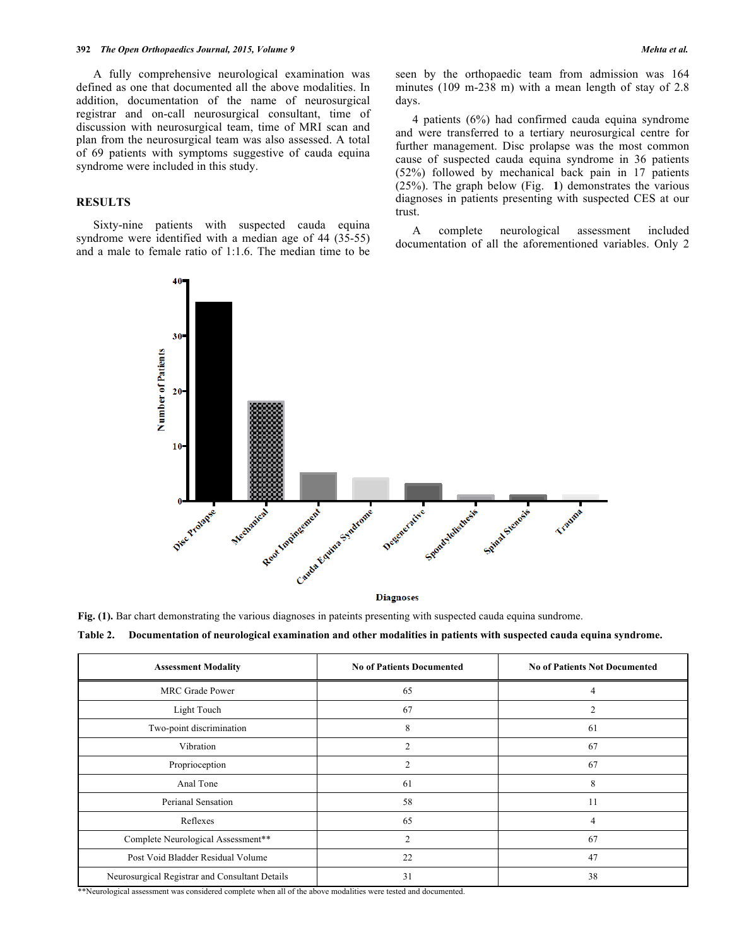A fully comprehensive neurological examination was defined as one that documented all the above modalities. In addition, documentation of the name of neurosurgical registrar and on-call neurosurgical consultant, time of discussion with neurosurgical team, time of MRI scan and plan from the neurosurgical team was also assessed. A total of 69 patients with symptoms suggestive of cauda equina syndrome were included in this study.

## **RESULTS**

Sixty-nine patients with suspected cauda equina syndrome were identified with a median age of 44 (35-55) and a male to female ratio of 1:1.6. The median time to be seen by the orthopaedic team from admission was 164 minutes (109 m-238 m) with a mean length of stay of 2.8 days.

4 patients (6%) had confirmed cauda equina syndrome and were transferred to a tertiary neurosurgical centre for further management. Disc prolapse was the most common cause of suspected cauda equina syndrome in 36 patients (52%) followed by mechanical back pain in 17 patients (25%). The graph below (Fig. **1**) demonstrates the various diagnoses in patients presenting with suspected CES at our trust.

A complete neurological assessment included documentation of all the aforementioned variables. Only 2



**Fig. (1).** Bar chart demonstrating the various diagnoses in pateints presenting with suspected cauda equina sundrome.

| <b>Assessment Modality</b>                     | <b>No of Patients Documented</b> | <b>No of Patients Not Documented</b> |
|------------------------------------------------|----------------------------------|--------------------------------------|
| <b>MRC</b> Grade Power                         | 65                               | 4                                    |
| Light Touch                                    | 67                               |                                      |
| Two-point discrimination                       | 8                                | 61                                   |
| Vibration                                      | $\overline{2}$                   | 67                                   |
| Proprioception                                 | $\overline{2}$                   | 67                                   |
| Anal Tone                                      | 61                               | 8                                    |
| Perianal Sensation                             | 58                               | 11                                   |
| Reflexes                                       | 65                               | 4                                    |
| Complete Neurological Assessment**             | $\overline{2}$                   | 67                                   |
| Post Void Bladder Residual Volume              | 22                               | 47                                   |
| Neurosurgical Registrar and Consultant Details | 31                               | 38                                   |

\*\*Neurological assessment was considered complete when all of the above modalities were tested and documented.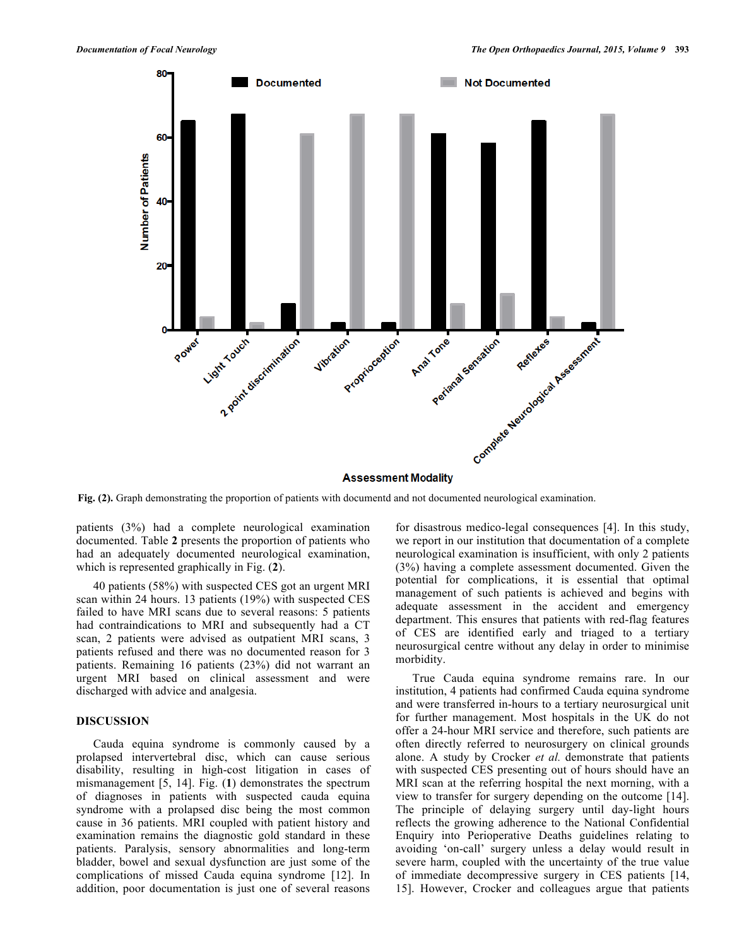

**Fig. (2).** Graph demonstrating the proportion of patients with documentd and not documented neurological examination.

patients (3%) had a complete neurological examination documented. Table **2** presents the proportion of patients who had an adequately documented neurological examination, which is represented graphically in Fig. (**2**).

40 patients (58%) with suspected CES got an urgent MRI scan within 24 hours. 13 patients (19%) with suspected CES failed to have MRI scans due to several reasons: 5 patients had contraindications to MRI and subsequently had a CT scan, 2 patients were advised as outpatient MRI scans, 3 patients refused and there was no documented reason for 3 patients. Remaining 16 patients (23%) did not warrant an urgent MRI based on clinical assessment and were discharged with advice and analgesia.

#### **DISCUSSION**

Cauda equina syndrome is commonly caused by a prolapsed intervertebral disc, which can cause serious disability, resulting in high-cost litigation in cases of mismanagement [5, 14]. Fig. (**1**) demonstrates the spectrum of diagnoses in patients with suspected cauda equina syndrome with a prolapsed disc being the most common cause in 36 patients. MRI coupled with patient history and examination remains the diagnostic gold standard in these patients. Paralysis, sensory abnormalities and long-term bladder, bowel and sexual dysfunction are just some of the complications of missed Cauda equina syndrome [12]. In addition, poor documentation is just one of several reasons

for disastrous medico-legal consequences [4]. In this study, we report in our institution that documentation of a complete neurological examination is insufficient, with only 2 patients (3%) having a complete assessment documented. Given the potential for complications, it is essential that optimal management of such patients is achieved and begins with adequate assessment in the accident and emergency department. This ensures that patients with red-flag features of CES are identified early and triaged to a tertiary neurosurgical centre without any delay in order to minimise morbidity.

True Cauda equina syndrome remains rare. In our institution, 4 patients had confirmed Cauda equina syndrome and were transferred in-hours to a tertiary neurosurgical unit for further management. Most hospitals in the UK do not offer a 24-hour MRI service and therefore, such patients are often directly referred to neurosurgery on clinical grounds alone. A study by Crocker *et al.* demonstrate that patients with suspected CES presenting out of hours should have an MRI scan at the referring hospital the next morning, with a view to transfer for surgery depending on the outcome [14]. The principle of delaying surgery until day-light hours reflects the growing adherence to the National Confidential Enquiry into Perioperative Deaths guidelines relating to avoiding 'on-call' surgery unless a delay would result in severe harm, coupled with the uncertainty of the true value of immediate decompressive surgery in CES patients [14, 15]. However, Crocker and colleagues argue that patients